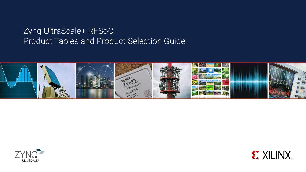## Zynq UltraScale+ RFSoC Product Tables and Product Selection Guide





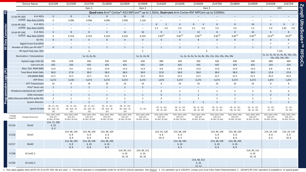|                            | Device Name                                                                                                                                                                                                                                                     | ZU21DR                                         | ZU25DR                                         | ZU27DR                                         | ZU28DR                                         | ZU29DR                                         | ZU39DR                                                   | ZU42DR                                         | ZU43DR                                         | ZU46DR                                           | ZU47DR                                         | ZU48DR                                         | ZU49DR                                                                          | ZU65DR                                         | ZU67DR                                         |
|----------------------------|-----------------------------------------------------------------------------------------------------------------------------------------------------------------------------------------------------------------------------------------------------------------|------------------------------------------------|------------------------------------------------|------------------------------------------------|------------------------------------------------|------------------------------------------------|----------------------------------------------------------|------------------------------------------------|------------------------------------------------|--------------------------------------------------|------------------------------------------------|------------------------------------------------|---------------------------------------------------------------------------------|------------------------------------------------|------------------------------------------------|
|                            | Gen 1                                                                                                                                                                                                                                                           |                                                |                                                |                                                |                                                | Gen 2                                          |                                                          | <b>DFE</b><br>Gen 3                            |                                                |                                                  |                                                |                                                |                                                                                 |                                                |                                                |
| Sd                         | Quad-core Arm® Cortex®-A53 MPCore™ up to 1.3GHz, Dual-core Arm Cortex-R5F MPCore up to 533MHz                                                                                                                                                                   |                                                |                                                |                                                |                                                |                                                |                                                          |                                                |                                                |                                                  |                                                |                                                |                                                                                 | <b>Zynq®</b>                                   |                                                |
|                            | # of ADCs<br>12-bit RF-ADC                                                                                                                                                                                                                                      | $\mathbf{0}$                                   | 8                                              | $8\phantom{1}$                                 | $8\phantom{1}$                                 | 16                                             | 16                                                       | $\equiv$                                       |                                                |                                                  | $\equiv$                                       | $\equiv$                                       |                                                                                 |                                                |                                                |
|                            | w/DDC Max Rate (GSPS)                                                                                                                                                                                                                                           | $\mathbf 0$                                    | 4.096                                          | 4.096                                          | 4.096                                          | 2.058                                          | 2.220                                                    | $\overline{a}$                                 | $\overline{\phantom{a}}$                       | $\overline{\phantom{0}}$                         | $\sim$                                         | $\equiv$                                       | $\overline{\phantom{0}}$                                                        | $\overline{\phantom{a}}$                       |                                                |
|                            | # of ADCs<br>14-bit RF-ADC                                                                                                                                                                                                                                      | $\equiv$                                       |                                                |                                                | $\equiv$                                       | $\equiv$                                       | $\overline{\phantom{a}}$                                 | $\overline{2}$<br>8                            | $\overline{4}$                                 | $\Delta$<br>8                                    | 8                                              | 8                                              | 16                                                                              | 6                                              | UltraScale+<br>8<br>$\overline{2}$             |
| <b>RF Data Converter</b>   | w/DDC Max Rate (GSPS)                                                                                                                                                                                                                                           | $\sim$                                         | $\overline{\phantom{0}}$                       | $\overline{\phantom{a}}$                       | $\overline{\phantom{m}}$                       | $\equiv$                                       | $\overline{\phantom{a}}$                                 | 2.5<br>5.0                                     | 5.0                                            | 5.0<br>2.5                                       | 5.0                                            | 5.0                                            | 2.5                                                                             | 5.9                                            | 2.95<br>5.9                                    |
|                            | # of DACs<br>14-bit RF-DAC                                                                                                                                                                                                                                      | $\mathbf{0}$                                   | 8                                              | 8                                              | 8                                              | 16                                             | 16                                                       | 8                                              | $\overline{4}$                                 | 12                                               | 8                                              | 8                                              | 16                                                                              | $6\overline{6}$                                | 8                                              |
|                            | w/DUC Max Rate (GSPS)                                                                                                                                                                                                                                           | $\overline{0}$                                 | 6.554                                          | 6.554                                          | 6.554                                          | 6.554                                          | 6.554                                                    | $9.85^{(3)}$                                   | $9.85^{(3)}$                                   | $9.85^{(3)}$                                     | $9.85^{(3)}$                                   | $9.85^{(3)}$                                   | $9.85^{(3)}$                                                                    | $10.0^{(4)}$                                   | $10.0^{(4)}$                                   |
|                            | SD-FEC                                                                                                                                                                                                                                                          | $8\phantom{1}$                                 | $\Omega$                                       | $\Omega$                                       | $\overline{8}$                                 | $\mathbf{0}$                                   | $\mathbf{0}$                                             | $\mathbf{0}$                                   | $\Omega$                                       | 8                                                | $\Omega$                                       | 8                                              | $\Omega$                                                                        | $\mathbf 0$                                    | $\mathbf{0}$                                   |
|                            | Digital Front-End (DFE)                                                                                                                                                                                                                                         | $\overline{\phantom{a}}$                       | $\overline{\phantom{0}}$                       | $\overline{\phantom{a}}$                       | $\overline{\phantom{0}}$                       | $\overline{\phantom{0}}$                       | $\overline{\phantom{a}}$                                 | $\qquad \qquad -$                              | $\overline{\phantom{0}}$                       | $\overline{\phantom{0}}$                         |                                                | $\overline{\phantom{0}}$                       | $\overline{\phantom{0}}$                                                        | $\checkmark$                                   | $\checkmark$<br>$\mathbf{I}$                   |
|                            | Number of DDCs per RF-ADC <sup>(1)</sup>                                                                                                                                                                                                                        | $\Omega$                                       |                                                | $\mathbf{1}$                                   | $\overline{1}$                                 | $\overline{1}$                                 | $\overline{1}$                                           | $\mathbf{1}$                                   | $\overline{2}$                                 | $\overline{1}$                                   | $\mathbf{1}$                                   | $\mathbf{1}$                                   | $\mathbf{1}$                                                                    | $\mathbf{1}$                                   | $\mathbf{1}$                                   |
|                            | RF input Freq max. GHz                                                                                                                                                                                                                                          |                                                | $\overline{a}$                                 |                                                |                                                |                                                | 5                                                        | 6                                              |                                                |                                                  |                                                |                                                |                                                                                 | 7.125                                          |                                                |
| Decimation / Interpolation |                                                                                                                                                                                                                                                                 | 1x, 2x, 4x, 8x                                 |                                                |                                                |                                                | 1x, 2x, 4x, 8x                                 | 1x, 2x, 3x, 4x, 5x, 6x, 8x, 10x, 12x, 16x, 20x, 24x, 40x |                                                |                                                |                                                  |                                                |                                                | <b>RFSoCs</b><br>$1x$ , 2x, 3x, 4x, 5x, 6x, 8x, 10x, 12x,<br>16x, 20x, 24x, 40x |                                                |                                                |
|                            | System Logic Cells (K)                                                                                                                                                                                                                                          | 930                                            | 678                                            | 930                                            | 930                                            | 930                                            | 930                                                      | 489                                            | 930                                            | 930                                              | 930                                            | 930                                            | 930                                                                             | 489                                            | 489                                            |
|                            | CLB LUTs (K)                                                                                                                                                                                                                                                    | 425                                            | 310                                            | 425                                            | 425                                            | 425                                            | 425                                                      | 224                                            | 425                                            | 425                                              | 425                                            | 425                                            | 425                                                                             | 224                                            | 224                                            |
|                            |                                                                                                                                                                                                                                                                 | 13.0                                           | 9.6                                            | 13.0                                           | 13.0                                           | 13.0                                           | 13.0                                                     | 6.8                                            | 13.0                                           | 13.0                                             | 13.0                                           | 13.0                                           | 13.0                                                                            | 6.8                                            | 6.8                                            |
|                            |                                                                                                                                                                                                                                                                 | 38.0                                           | 27.8                                           | 38.0                                           | 38.0                                           | 38.0                                           | 38.0                                                     | 22.8                                           | 38.0                                           | 38.0                                             | 38.0                                           | 38.0                                           | 38.0                                                                            | 22.8                                           | 22.8                                           |
|                            | Max. Dist. RAM (Mb)<br>Total Block RAM (Mb)<br>Total Block RAM (Mb)<br>UltraRAM (Mb)<br>DSP Slices<br>GTY Transceivers<br>FCle® Gen3 x16<br>PCleGen3 x16/Gen4 x8 / CClX <sup>(2)</sup><br>150G Interlaken<br>20100G Ethernet MAC/PCS w/RS-FEC<br>System Monitor | 22.5                                           | 13.5                                           | 22.5                                           | 22.5                                           | 22.5                                           | 22.5                                                     | 45.0                                           | 22.5                                           | 22.5                                             | 22.5                                           | 22.5                                           | 22.5                                                                            | 45.0                                           | 45.0                                           |
|                            |                                                                                                                                                                                                                                                                 | 4,272                                          | 3,145                                          | 4,272                                          | 4,272                                          | 4,272                                          | 4,272                                                    | 1,872                                          | 4,272                                          | 4,272                                            | 4,272                                          | 4,272                                          | 4,272                                                                           | 1,872                                          | 1,872                                          |
|                            |                                                                                                                                                                                                                                                                 | 16                                             | 8                                              | 16                                             | 16                                             | 16                                             | 16                                                       | 8<br>$\equiv$                                  | 16                                             | 16                                               | 16                                             | 16                                             | 16                                                                              | 8<br>$\overline{\phantom{0}}$                  | 8                                              |
|                            |                                                                                                                                                                                                                                                                 | 2<br>$\equiv$                                  | $\overline{1}$                                 | $\overline{2}$                                 | $\overline{2}$                                 | $\overline{2}$<br>$\overline{\phantom{0}}$     | $\overline{2}$<br>$\overline{\phantom{0}}$               | $\mathbf 0$                                    |                                                | $\equiv$                                         | $\overline{2}$                                 | $\overline{\phantom{0}}$                       | $\overline{\phantom{0}}$<br>$\overline{2}$                                      |                                                | $\Omega$                                       |
|                            |                                                                                                                                                                                                                                                                 | 1                                              |                                                | $\overline{1}$                                 | $\overline{\phantom{0}}$                       | $\mathbf{1}$                                   | $\overline{1}$                                           | $\Omega$                                       | $\overline{2}$                                 | $\overline{2}$<br>$\mathbf{1}$                   | $\mathbf{1}$                                   | $\overline{2}$<br>$\overline{1}$               | $\mathbf{1}$                                                                    | $\mathsf 0$<br>$\mathbf{0}$                    |                                                |
|                            |                                                                                                                                                                                                                                                                 | $\overline{2}$                                 | 1                                              | $\overline{2}$                                 | $\overline{2}$                                 | $\overline{2}$                                 | $\overline{2}$                                           | $\Omega$                                       | $\overline{2}$                                 | $\overline{2}$                                   | $\overline{2}$                                 | $\overline{2}$                                 | $\overline{2}$                                                                  | $\mathbf{1}$                                   | 1                                              |
|                            |                                                                                                                                                                                                                                                                 | $\overline{2}$                                 | $\overline{2}$                                 | $\overline{2}$                                 | $\overline{z}$                                 | $\overline{2}$                                 | $\overline{2}$                                           | $\overline{2}$                                 | $\overline{2}$                                 | $2 \left( \frac{1}{2} \right)$<br>$\overline{2}$ | $\overline{2}$                                 | $\mathfrak{Z}$                                 | $\overline{2}$                                                                  | $\overline{z}$                                 | $\overline{2}$                                 |
|                            |                                                                                                                                                                                                                                                                 | $-1E, -11, -1L1,$                              | $-1E, -1I, -1II,$                              | $-1E, -11, -1L1,$                              | $-1E, -11, -111,$                              | $-1E, -11, -1L1,$                              |                                                          | $-1E, -11, -1LI,$                              | $-1E, -11, -1L1,$                              | $-1E, -11, -1U,$                                 | $-1E, -11, -1L1,$                              | $-1E, -11, -1LI,$                              | $-1E, -11, -1LI,$                                                               | $-11, -111,$                                   | $-11, -111,$                                   |
|                            | <b>Speed Grades</b>                                                                                                                                                                                                                                             | $-2E, -2LE, -2I,$<br>$-2LI$                    | $-2E, -2LE, -2I,$<br>$-2LI$                    | $-2E, -2LE, -2I,$<br>$-2LI$                    | $-2E, -2LE, -2I,$<br>$-2LI$                    | $-2E, -2LE, -2I,$<br>$-2LI$                    | $-2I, -2LI$                                              | $-2E, -2I, -2LI$                               | $-2E, -2I, -2LI$                               | $-2E, -2I, -2LI$                                 | $-2E, -2I, -2LI$                               | $-2E, -2I, -2LI$                               | $-2E, -2I, -2LI$                                                                | $-21, -211$                                    | $-2I, -2LI$                                    |
| Package<br>Footprint       | Package Dimensions                                                                                                                                                                                                                                              | PSIO, HDIO, HPIO<br>GTR, GTY<br>RF-ADC, RF-DAC | PSIO, HDIO, HPIO<br>GTR, GTY<br>RF-ADC, RF-DAC | PSIO, HDIO, HPIO<br>GTR, GTY<br>RF-ADC, RF-DAC | PSIO, HDIO, HPIO<br>GTR, GTY<br>RF-ADC, RF-DAC | PSIO, HDIO, HPIO<br>GTR, GTY<br>RF-ADC, RF-DAC | PSIO, HDIO, HPIO<br>GTR, GTY<br>RF-ADC, RF-DAC           | PSIO, HDIO, HPIO<br>GTR, GTY<br>RF-ADC, RF-DAC | PSIO, HDIO, HPIO<br>GTR, GTY<br>RF-ADC, RF-DAC | PSIO, HDIO, HPIO<br>GTR, GTY<br>RF-ADC, RF-DAC   | PSIO, HDIO, HPIO<br>GTR, GTY<br>RF-ADC, RF-DAC | PSIO, HDIO, HPIO<br>GTR, GTY<br>RF-ADC, RF-DAC | PSIO, HDIO, HPIO<br>GTR, GTY<br>RF-ADC, RF-DAC                                  | PSIO, HDIO, HPIO<br>GTR, GTY<br>RF-ADC, RF-DAC | PSIO, HDIO, HPIO<br>GTR, GTY<br>RF-ADC, RF-DAC |
| D1156                      | 35x35                                                                                                                                                                                                                                                           | 214, 72, 208<br>4, 16<br>0, 0                  |                                                |                                                |                                                |                                                |                                                          |                                                |                                                |                                                  |                                                |                                                |                                                                                 |                                                |                                                |
| E1156                      | 35x35                                                                                                                                                                                                                                                           |                                                | 214, 48, 104<br>4,8<br>8,8                     | 214, 48, 104<br>4, 8<br>8,8                    | 214, 48, 104<br>4, 8<br>8,8                    |                                                |                                                          | 214, 24, 128<br>4, 8<br>10, 8                  | 214, 48, 104<br>4, 8<br>4, 4                   |                                                  | 214, 48, 104<br>4, 8<br>8, 8                   | 214, 48, 104<br>4,8<br>8,8                     |                                                                                 | 214, 24, 130<br>4, 8<br>6, 6                   | 214, 24, 130<br>4, 8<br>10, 8                  |
| G1517                      | 40x40                                                                                                                                                                                                                                                           |                                                | 214, 48, 299<br>4, 8<br>8,8                    | 214, 48, 299<br>4, 16<br>8,8                   | 214, 48, 299<br>4, 16<br>8, 8                  |                                                |                                                          |                                                | 214, 48, 299<br>4, 16<br>4, 4                  |                                                  | 214, 48, 299<br>4, 16<br>8, 8                  | 214, 48, 299<br>4, 16<br>8, 8                  |                                                                                 |                                                |                                                |
| F1760                      | 42.5x42.5                                                                                                                                                                                                                                                       |                                                |                                                |                                                |                                                | 214, 96, 312<br>4, 16<br>16, 16                | 214, 96, 312<br>4, 16<br>16, 16                          |                                                |                                                |                                                  |                                                |                                                | 214, 96, 312<br>4, 16<br>16, 16                                                 |                                                |                                                |
| H1760                      | 42.5x42.5                                                                                                                                                                                                                                                       |                                                |                                                |                                                |                                                |                                                |                                                          |                                                |                                                | 214, 48, 312<br>4, 16<br>12, 12                  |                                                |                                                |                                                                                 |                                                |                                                |

1. This value applies when all RF I/O of an RF-ADC tile are used. 2. This block operates in compatibility mode for 16.0GT/s (Gen4) operation. See PG213. 3. For operation up to 10GSPS, contact your local Xilinx Sales Repres